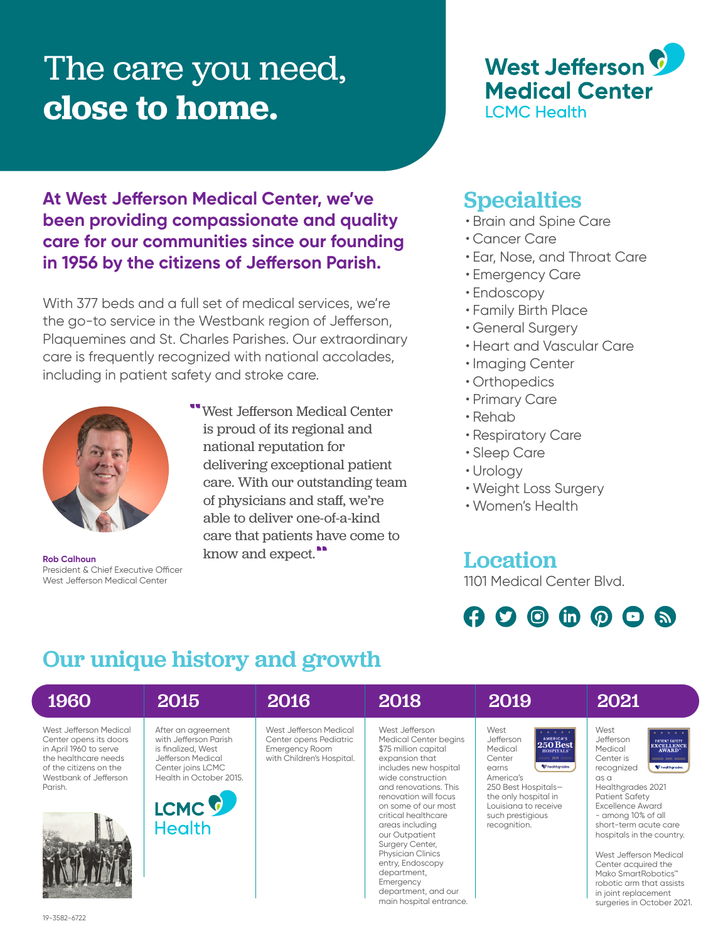## The care you need, **close to home.**



### **At West Jefferson Medical Center, we've been providing compassionate and quality care for our communities since our founding in 1956 by the citizens of Jefferson Parish.**

With 377 beds and a full set of medical services, we're the go-to service in the Westbank region of Jefferson, Plaquemines and St. Charles Parishes. Our extraordinary care is frequently recognized with national accolades, including in patient safety and stroke care.



President & Chief Executive Officer West Jefferson Medical Center

"West Jefferson Medical Center is proud of its regional and national reputation for delivering exceptional patient care. With our outstanding team of physicians and staff, we're able to deliver one-of-a-kind care that patients have come to Rob Calhoun know and expect.<sup>"</sup>

### **Specialties**

- Brain and Spine Care
- Cancer Care
- Ear, Nose, and Throat Care
- Emergency Care
- Endoscopy
- Family Birth Place
- General Surgery
- Heart and Vascular Care
- Imaging Center
- Orthopedics
- Primary Care
- Rehab
- Respiratory Care
- Sleep Care
- Urology
- Weight Loss Surgery
- Women's Health

# Location

1101 Medical Center Blvd.



## Our unique history and growth

| 1960                                                                                                                                                             | 2015                                                                                                                                                                         | 2016                                                                                                   | 2018                                                                                                                                                                                                                                                                                                                                                                                                                  | 2019                                                                                                                                                                                                                                                                      | 2021                                                                                                                                                                                                                                                                                                                                                                                                                                              |
|------------------------------------------------------------------------------------------------------------------------------------------------------------------|------------------------------------------------------------------------------------------------------------------------------------------------------------------------------|--------------------------------------------------------------------------------------------------------|-----------------------------------------------------------------------------------------------------------------------------------------------------------------------------------------------------------------------------------------------------------------------------------------------------------------------------------------------------------------------------------------------------------------------|---------------------------------------------------------------------------------------------------------------------------------------------------------------------------------------------------------------------------------------------------------------------------|---------------------------------------------------------------------------------------------------------------------------------------------------------------------------------------------------------------------------------------------------------------------------------------------------------------------------------------------------------------------------------------------------------------------------------------------------|
| West Jefferson Medical<br>Center opens its doors<br>in April 1960 to serve<br>the healthcare needs<br>of the citizens on the<br>Westbank of Jefferson<br>Parish. | After an agreement<br>with Jefferson Parish<br>is finalized. West<br>Jefferson Medical<br>Center joins LCMC<br>Health in October 2015.<br>LCMC <sup>C</sup><br><b>Health</b> | West Jefferson Medical<br>Center opens Pediatric<br><b>Emergency Room</b><br>with Children's Hospital. | West Jefferson<br>Medical Center begins<br>\$75 million capital<br>expansion that<br>includes new hospital<br>wide construction<br>and renovations. This<br>renovation will focus<br>on some of our most<br>critical healthcare<br>areas including<br>our Outpatient<br>Surgery Center,<br><b>Physician Clinics</b><br>entry, Endoscopy<br>department,<br>Emergency<br>department, and our<br>main hospital entrance. | West<br>* * * * *<br>AMERICA'S<br>Jefferson<br><b>250 Best</b><br>Medical<br><b>HOSPITALS</b><br>Center<br>$= 2019$ $=$<br>healthgrades.<br>earns<br>America's<br>250 Best Hospitals-<br>the only hospital in<br>Louisiana to receive<br>such prestigious<br>recognition. | West<br>Jefferson<br>PATIENT SAFETY<br>EXCELLENCE<br>Medical<br>Center is<br>$=$ 2021 $=$<br>to healthgrades.<br>recognized<br>$\alpha s$<br>Healthgrades 2021<br><b>Patient Safety</b><br>Excellence Award<br>- among 10% of all<br>short-term acute care<br>hospitals in the country.<br>West Jefferson Medical<br>Center acquired the<br>Mako SmartRobotics™<br>robotic arm that assists<br>in joint replacement<br>surgeries in October 2021. |
| 19-3582-6722                                                                                                                                                     |                                                                                                                                                                              |                                                                                                        |                                                                                                                                                                                                                                                                                                                                                                                                                       |                                                                                                                                                                                                                                                                           |                                                                                                                                                                                                                                                                                                                                                                                                                                                   |